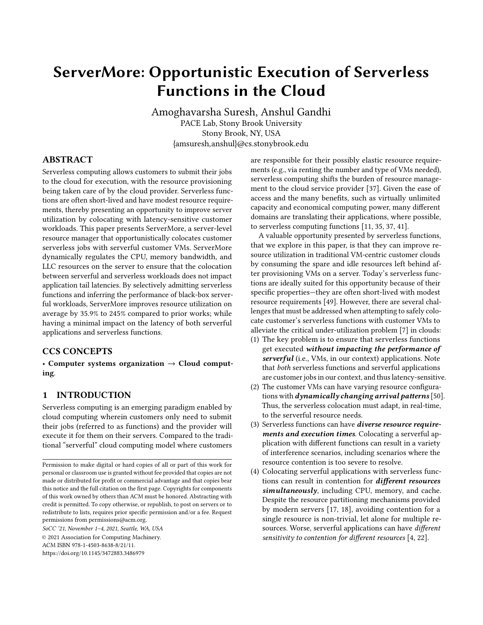# ServerMore: Opportunistic Execution of Serverless Functions in the Cloud

Amoghavarsha Suresh, Anshul Gandhi PACE Lab, Stony Brook University Stony Brook, NY, USA {amsuresh,anshul}@cs.stonybrook.edu

### ABSTRACT

Serverless computing allows customers to submit their jobs to the cloud for execution, with the resource provisioning being taken care of by the cloud provider. Serverless functions are often short-lived and have modest resource requirements, thereby presenting an opportunity to improve server utilization by colocating with latency-sensitive customer workloads. This paper presents ServerMore, a server-level resource manager that opportunistically colocates customer serverless jobs with serverful customer VMs. ServerMore dynamically regulates the CPU, memory bandwidth, and LLC resources on the server to ensure that the colocation between serverful and serverless workloads does not impact application tail latencies. By selectively admitting serverless functions and inferring the performance of black-box serverful workloads, ServerMore improves resource utilization on average by 35.9% to 245% compared to prior works; while having a minimal impact on the latency of both serverful applications and serverless functions.

# CCS CONCEPTS

• Computer systems organization  $\rightarrow$  Cloud computing.

# 1 INTRODUCTION

Serverless computing is an emerging paradigm enabled by cloud computing wherein customers only need to submit their jobs (referred to as functions) and the provider will execute it for them on their servers. Compared to the traditional "serverful" cloud computing model where customers

SoCC '21, November 1–4, 2021, Seattle, WA, USA

are responsible for their possibly elastic resource requirements (e.g., via renting the number and type of VMs needed), serverless computing shifts the burden of resource management to the cloud service provider [\[37\]](#page-14-0). Given the ease of access and the many benefits, such as virtually unlimited capacity and economical computing power, many different domains are translating their applications, where possible, to serverless computing functions [\[11,](#page-13-0) [35,](#page-14-1) [37,](#page-14-0) [41\]](#page-14-2).

A valuable opportunity presented by serverless functions, that we explore in this paper, is that they can improve resource utilization in traditional VM-centric customer clouds by consuming the spare and idle resources left behind after provisioning VMs on a server. Today's serverless functions are ideally suited for this opportunity because of their specific properties—they are often short-lived with modest resource requirements [\[49\]](#page-14-3). However, there are several challenges that must be addressed when attempting to safely colocate customer's serverless functions with customer VMs to alleviate the critical under-utilization problem [\[7\]](#page-13-1) in clouds:

- (1) The key problem is to ensure that serverless functions get executed without impacting the performance of serverful (i.e., VMs, in our context) applications. Note that both serverless functions and serverful applications are customer jobs in our context, and thus latency-sensitive.
- (2) The customer VMs can have varying resource configurations with *dynamically changing arrival patterns* [\[50\]](#page-14-4). Thus, the serverless colocation must adapt, in real-time, to the serverful resource needs.
- (3) Serverless functions can have diverse resource requirements and execution times. Colocating a serverful application with different functions can result in a variety of interference scenarios, including scenarios where the resource contention is too severe to resolve.
- (4) Colocating serverful applications with serverless functions can result in contention for different resources simultaneously, including CPU, memory, and cache. Despite the resource partitioning mechanisms provided by modern servers [\[17,](#page-13-2) [18\]](#page-13-3), avoiding contention for a single resource is non-trivial, let alone for multiple resources. Worse, serverful applications can have different sensitivity to contention for different resources [\[4,](#page-13-4) [22\]](#page-13-5).

Permission to make digital or hard copies of all or part of this work for personal or classroom use is granted without fee provided that copies are not made or distributed for profit or commercial advantage and that copies bear this notice and the full citation on the first page. Copyrights for components of this work owned by others than ACM must be honored. Abstracting with credit is permitted. To copy otherwise, or republish, to post on servers or to redistribute to lists, requires prior specific permission and/or a fee. Request permissions from permissions@acm.org.

<sup>©</sup> 2021 Association for Computing Machinery. ACM ISBN 978-1-4503-8638-8/21/11.

<https://doi.org/10.1145/3472883.3486979>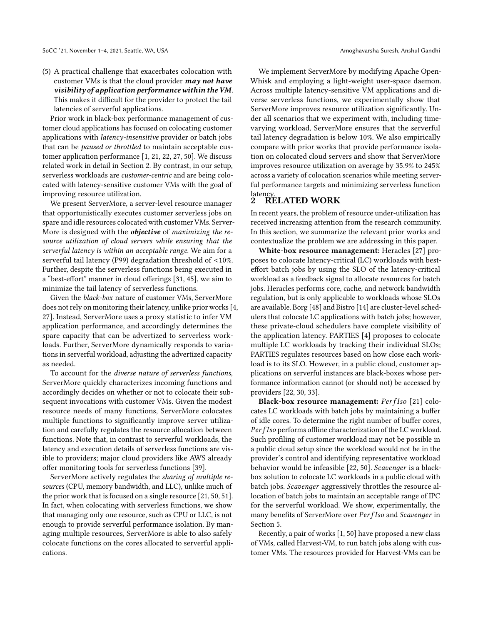Prior work in black-box performance management of customer cloud applications has focused on colocating customer applications with latency-insensitive provider or batch jobs that can be paused or throttled to maintain acceptable customer application performance [\[1,](#page-13-6) [21,](#page-13-7) [22,](#page-13-5) [27,](#page-13-8) [50\]](#page-14-4). We discuss related work in detail in Section [2.](#page-1-0) By contrast, in our setup, serverless workloads are customer-centric and are being colocated with latency-sensitive customer VMs with the goal of improving resource utilization.

We present ServerMore, a server-level resource manager that opportunistically executes customer serverless jobs on spare and idle resources colocated with customer VMs. Server-More is designed with the *objective* of maximizing the resource utilization of cloud servers while ensuring that the serverful latency is within an acceptable range. We aim for a serverful tail latency (P99) degradation threshold of <10%. Further, despite the serverless functions being executed in a "best-effort" manner in cloud offerings [\[31,](#page-14-5) [45\]](#page-14-6), we aim to minimize the tail latency of serverless functions.

Given the black-box nature of customer VMs, ServerMore does not rely on monitoring their latency, unlike prior works [\[4,](#page-13-4) [27\]](#page-13-8). Instead, ServerMore uses a proxy statistic to infer VM application performance, and accordingly determines the spare capacity that can be advertized to serverless workloads. Further, ServerMore dynamically responds to variations in serverful workload, adjusting the advertized capacity as needed.

To account for the diverse nature of serverless functions, ServerMore quickly characterizes incoming functions and accordingly decides on whether or not to colocate their subsequent invocations with customer VMs. Given the modest resource needs of many functions, ServerMore colocates multiple functions to significantly improve server utilization and carefully regulates the resource allocation between functions. Note that, in contrast to serverful workloads, the latency and execution details of serverless functions are visible to providers; major cloud providers like AWS already offer monitoring tools for serverless functions [\[39\]](#page-14-7).

ServerMore actively regulates the sharing of multiple resources (CPU, memory bandwidth, and LLC), unlike much of the prior work that is focused on a single resource [\[21,](#page-13-7) [50,](#page-14-4) [51\]](#page-14-8). In fact, when colocating with serverless functions, we show that managing only one resource, such as CPU or LLC, is not enough to provide serverful performance isolation. By managing multiple resources, ServerMore is able to also safely colocate functions on the cores allocated to serverful applications.

We implement ServerMore by modifying Apache Open-Whisk and employing a light-weight user-space daemon. Across multiple latency-sensitive VM applications and diverse serverless functions, we experimentally show that ServerMore improves resource utilization significantly. Under all scenarios that we experiment with, including timevarying workload, ServerMore ensures that the serverful tail latency degradation is below 10%. We also empirically compare with prior works that provide performance isolation on colocated cloud servers and show that ServerMore improves resource utilization on average by 35.9% to 245% across a variety of colocation scenarios while meeting serverful performance targets and minimizing serverless function

# <span id="page-1-0"></span><sup>latency.</sup><br>2 RELATED WORK

In recent years, the problem of resource under-utilization has received increasing attention from the research community. In this section, we summarize the relevant prior works and contextualize the problem we are addressing in this paper.

White-box resource management: Heracles [\[27\]](#page-13-8) proposes to colocate latency-critical (LC) workloads with besteffort batch jobs by using the SLO of the latency-critical workload as a feedback signal to allocate resources for batch jobs. Heracles performs core, cache, and network bandwidth regulation, but is only applicable to workloads whose SLOs are available. Borg [\[48\]](#page-14-9) and Bistro [\[14\]](#page-13-9) are cluster-level schedulers that colocate LC applications with batch jobs; however, these private-cloud schedulers have complete visibility of the application latency. PARTIES [\[4\]](#page-13-4) proposes to colocate multiple LC workloads by tracking their individual SLOs; PARTIES regulates resources based on how close each workload is to its SLO. However, in a public cloud, customer applications on serverful instances are black-boxes whose performance information cannot (or should not) be accessed by providers [\[22,](#page-13-5) [30,](#page-14-10) [33\]](#page-14-11).

Black-box resource management: PerfIso [\[21\]](#page-13-7) colocates LC workloads with batch jobs by maintaining a buffer of idle cores. To determine the right number of buffer cores,  $PerfIso$  performs offline characterization of the LC workload. Such profiling of customer workload may not be possible in a public cloud setup since the workload would not be in the provider's control and identifying representative workload behavior would be infeasible [\[22,](#page-13-5) [50\]](#page-14-4). Scavenger is a blackbox solution to colocate LC workloads in a public cloud with batch jobs. Scavenger aggressively throttles the resource allocation of batch jobs to maintain an acceptable range of IPC for the serverful workload. We show, experimentally, the many benefits of ServerMore over PerfIso and Scavenger in Section [5.](#page-7-0)

Recently, a pair of works [\[1,](#page-13-6) [50\]](#page-14-4) have proposed a new class of VMs, called Harvest-VM, to run batch jobs along with customer VMs. The resources provided for Harvest-VMs can be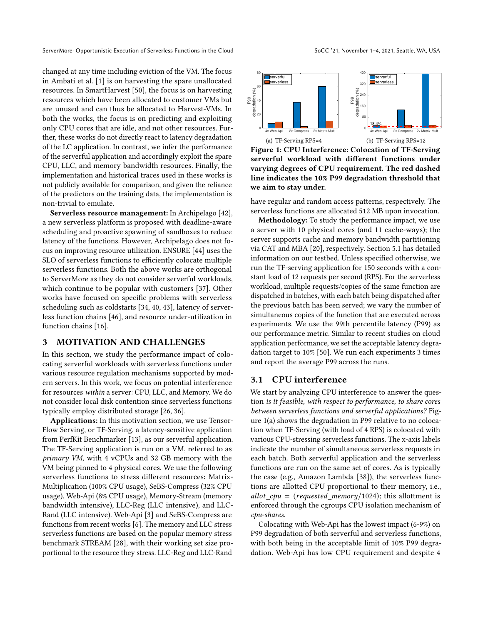changed at any time including eviction of the VM. The focus in Ambati et al. [\[1\]](#page-13-6) is on harvesting the spare unallocated resources. In SmartHarvest [\[50\]](#page-14-4), the focus is on harvesting resources which have been allocated to customer VMs but are unused and can thus be allocated to Harvest-VMs. In both the works, the focus is on predicting and exploiting only CPU cores that are idle, and not other resources. Further, these works do not directly react to latency degradation of the LC application. In contrast, we infer the performance of the serverful application and accordingly exploit the spare CPU, LLC, and memory bandwidth resources. Finally, the implementation and historical traces used in these works is not publicly available for comparison, and given the reliance of the predictors on the training data, the implementation is non-trivial to emulate.

Serverless resource management: In Archipelago [\[42\]](#page-14-12), a new serverless platform is proposed with deadline-aware scheduling and proactive spawning of sandboxes to reduce latency of the functions. However, Archipelago does not focus on improving resource utilization. ENSURE [\[44\]](#page-14-13) uses the SLO of serverless functions to efficiently colocate multiple serverless functions. Both the above works are orthogonal to ServerMore as they do not consider serverful workloads, which continue to be popular with customers [\[37\]](#page-14-0). Other works have focused on specific problems with serverless scheduling such as coldstarts [\[34,](#page-14-14) [40,](#page-14-15) [43\]](#page-14-16), latency of serverless function chains [\[46\]](#page-14-17), and resource under-utilization in function chains [\[16\]](#page-13-10).

#### <span id="page-2-2"></span>3 MOTIVATION AND CHALLENGES

In this section, we study the performance impact of colocating serverful workloads with serverless functions under various resource regulation mechanisms supported by modern servers. In this work, we focus on potential interference for resources within a server: CPU, LLC, and Memory. We do not consider local disk contention since serverless functions typically employ distributed storage [\[26,](#page-13-11) [36\]](#page-14-18).

Applications: In this motivation section, we use Tensor-Flow Serving, or TF-Serving, a latency-sensitive application from PerfKit Benchmarker [\[13\]](#page-13-12), as our serverful application. The TF-Serving application is run on a VM, referred to as primary VM, with 4 vCPUs and 32 GB memory with the VM being pinned to 4 physical cores. We use the following serverless functions to stress different resources: Matrix-Multiplication (100% CPU usage), SeBS-Compress (32% CPU usage), Web-Api (8% CPU usage), Memory-Stream (memory bandwidth intensive), LLC-Reg (LLC intensive), and LLC-Rand (LLC intensive). Web-Api [\[3\]](#page-13-13) and SeBS-Compress are functions from recent works [\[6\]](#page-13-14). The memory and LLC stress serverless functions are based on the popular memory stress benchmark STREAM [\[28\]](#page-14-19), with their working set size proportional to the resource they stress. LLC-Reg and LLC-Rand



<span id="page-2-1"></span><span id="page-2-0"></span>Figure 1: CPU Interference: Colocation of TF-Serving serverful workload with different functions under varying degrees of CPU requirement. The red dashed line indicates the 10% P99 degradation threshold that we aim to stay under.

have regular and random access patterns, respectively. The serverless functions are allocated 512 MB upon invocation.

Methodology: To study the performance impact, we use a server with 10 physical cores (and 11 cache-ways); the server supports cache and memory bandwidth partitioning via CAT and MBA [\[20\]](#page-13-15), respectively. Section [5.1](#page-7-1) has detailed information on our testbed. Unless specified otherwise, we run the TF-serving application for 150 seconds with a constant load of 12 requests per second (RPS). For the serverless workload, multiple requests/copies of the same function are dispatched in batches, with each batch being dispatched after the previous batch has been served; we vary the number of simultaneous copies of the function that are executed across experiments. We use the 99th percentile latency (P99) as our performance metric. Similar to recent studies on cloud application performance, we set the acceptable latency degradation target to 10% [\[50\]](#page-14-4). We run each experiments 3 times and report the average P99 across the runs.

#### 3.1 CPU interference

We start by analyzing CPU interference to answer the question is it feasible, with respect to performance, to share cores between serverless functions and serverful applications? Figure [1\(a\)](#page-2-0) shows the degradation in P99 relative to no colocation when TF-Serving (with load of 4 RPS) is colocated with various CPU-stressing serverless functions. The x-axis labels indicate the number of simultaneous serverless requests in each batch. Both serverful application and the serverless functions are run on the same set of cores. As is typically the case (e.g., Amazon Lambda [\[38\]](#page-14-20)), the serverless functions are allotted CPU proportional to their memory, i.e., allot  $cpu = (requested memory/1024);$  this allottment is enforced through the cgroups CPU isolation mechanism of cpu-shares.

Colocating with Web-Api has the lowest impact (6-9%) on P99 degradation of both serverful and serverless functions, with both being in the acceptable limit of 10% P99 degradation. Web-Api has low CPU requirement and despite 4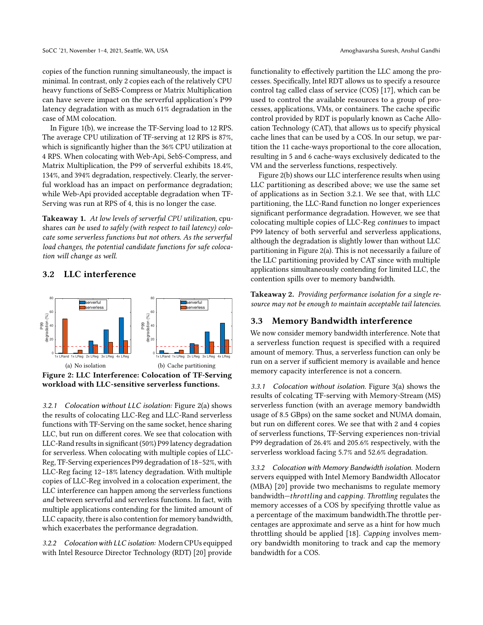copies of the function running simultaneously, the impact is minimal. In contrast, only 2 copies each of the relatively CPU heavy functions of SeBS-Compress or Matrix Multiplication can have severe impact on the serverful application's P99 latency degradation with as much 61% degradation in the case of MM colocation.

In Figure [1\(b\),](#page-2-1) we increase the TF-Serving load to 12 RPS. The average CPU utilization of TF-serving at 12 RPS is 87%, which is significantly higher than the 36% CPU utilization at 4 RPS. When colocating with Web-Api, SebS-Compress, and Matrix Multiplication, the P99 of serverful exhibits 18.4%, 134%, and 394% degradation, respectively. Clearly, the serverful workload has an impact on performance degradation; while Web-Api provided acceptable degradation when TF-Serving was run at RPS of 4, this is no longer the case.

<span id="page-3-3"></span>Takeaway 1. At low levels of serverful CPU utilization, cpushares can be used to safely (with respect to tail latency) colocate some serverless functions but not others. As the serverful load changes, the potential candidate functions for safe colocation will change as well.

#### 3.2 LLC interference



<span id="page-3-1"></span><span id="page-3-0"></span>workload with LLC-sensitive serverless functions.

<span id="page-3-2"></span>3.2.1 Colocation without LLC isolation: Figure [2\(a\)](#page-3-0) shows the results of colocating LLC-Reg and LLC-Rand serverless functions with TF-Serving on the same socket, hence sharing LLC, but run on different cores. We see that colocation with LLC-Rand results in significant (50%) P99 latency degradation for serverless. When colocating with multiple copies of LLC-Reg, TF-Serving experiences P99 degradation of 18–52%, with LLC-Reg facing 12–18% latency degradation. With multiple copies of LLC-Reg involved in a colocation experiment, the LLC interference can happen among the serverless functions and between serverful and serverless functions. In fact, with multiple applications contending for the limited amount of LLC capacity, there is also contention for memory bandwidth, which exacerbates the performance degradation.

<span id="page-3-6"></span>3.2.2 Colocation with LLC isolation: Modern CPUs equipped with Intel Resource Director Technology (RDT) [\[20\]](#page-13-15) provide

functionality to effectively partition the LLC among the processes. Specifically, Intel RDT allows us to specify a resource control tag called class of service (COS) [\[17\]](#page-13-2), which can be used to control the available resources to a group of processes, applications, VMs, or containers. The cache specific control provided by RDT is popularly known as Cache Allocation Technology (CAT), that allows us to specify physical cache lines that can be used by a COS. In our setup, we partition the 11 cache-ways proportional to the core allocation, resulting in 5 and 6 cache-ways exclusively dedicated to the VM and the serverless functions, respectively.

Figure [2\(b\)](#page-3-1) shows our LLC interference results when using LLC partitioning as described above; we use the same set of applications as in Section [3.2.1.](#page-3-2) We see that, with LLC partitioning, the LLC-Rand function no longer experiences significant performance degradation. However, we see that colocating multiple copies of LLC-Reg continues to impact P99 latency of both serverful and serverless applications, although the degradation is slightly lower than without LLC partitioning in Figure [2\(a\).](#page-3-0) This is not necessarily a failure of the LLC partitioning provided by CAT since with multiple applications simultaneously contending for limited LLC, the contention spills over to memory bandwidth.

<span id="page-3-4"></span>Takeaway 2. Providing performance isolation for a single resource may not be enough to maintain acceptable tail latencies.

# 3.3 Memory Bandwidth interference

We now consider memory bandwidth interference. Note that a serverless function request is specified with a required amount of memory. Thus, a serverless function can only be run on a server if sufficient memory is available and hence memory capacity interference is not a concern.

3.3.1 Colocation without isolation. Figure [3\(a\)](#page-4-0) shows the results of colcating TF-serving with Memory-Stream (MS) serverless function (with an average memory bandwidth usage of 8.5 GBps) on the same socket and NUMA domain, but run on different cores. We see that with 2 and 4 copies of serverless functions, TF-Serving experiences non-trivial P99 degradation of 26.4% and 205.6% respectively, with the serverless workload facing 5.7% and 52.6% degradation.

<span id="page-3-5"></span>3.3.2 Colocation with Memory Bandwidth isolation. Modern servers equipped with Intel Memory Bandwidth Allocator (MBA) [\[20\]](#page-13-15) provide two mechanisms to regulate memory bandwidth-throttling and capping. Throttling regulates the memory accesses of a COS by specifying throttle value as a percentage of the maximum bandwidth.The throttle percentages are approximate and serve as a hint for how much throttling should be applied [\[18\]](#page-13-3). Capping involves memory bandwidth monitoring to track and cap the memory bandwidth for a COS.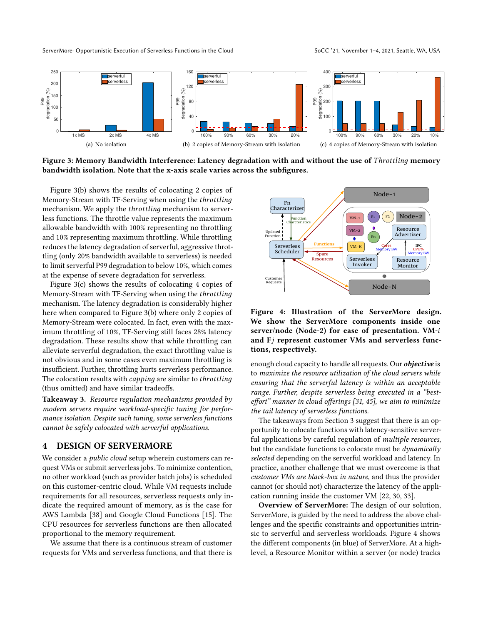

<span id="page-4-0"></span>Figure 3: Memory Bandwidth Interference: Latency degradation with and without the use of *Throttling* memory bandwidth isolation. Note that the x-axis scale varies across the subfigures.

Figure [3\(b\)](#page-4-1) shows the results of colocating 2 copies of Memory-Stream with TF-Serving when using the *throttling* mechanism. We apply the *throttling* mechanism to serverless functions. The throttle value represents the maximum allowable bandwidth with 100% representing no throttling and 10% representing maximum throttling. While throttling reduces the latency degradation of serverful, aggressive throttling (only 20% bandwidth available to serverless) is needed to limit serverful P99 degradation to below 10%, which comes at the expense of severe degradation for serverless.

Figure [3\(c\)](#page-4-2) shows the results of colocating 4 copies of Memory-Stream with TF-Serving when using the throttling mechanism. The latency degradation is considerably higher here when compared to Figure [3\(b\)](#page-4-1) where only 2 copies of Memory-Stream were colocated. In fact, even with the maximum throttling of 10%, TF-Serving still faces 28% latency degradation. These results show that while throttling can alleviate serverful degradation, the exact throttling value is not obvious and in some cases even maximum throttling is insufficient. Further, throttling hurts serverless performance. The colocation results with *capping* are similar to *throttling* (thus omitted) and have similar tradeoffs.

<span id="page-4-4"></span>Takeaway 3. Resource regulation mechanisms provided by modern servers require workload-specific tuning for performance isolation. Despite such tuning, some serverless functions cannot be safely colocated with serverful applications.

#### 4 DESIGN OF SERVERMORE

We consider a *public cloud* setup wherein customers can request VMs or submit serverless jobs. To minimize contention, no other workload (such as provider batch jobs) is scheduled on this customer-centric cloud. While VM requests include requirements for all resources, serverless requests only indicate the required amount of memory, as is the case for AWS Lambda [\[38\]](#page-14-20) and Google Cloud Functions [\[15\]](#page-13-16). The CPU resources for serverless functions are then allocated proportional to the memory requirement.

We assume that there is a continuous stream of customer requests for VMs and serverless functions, and that there is

<span id="page-4-3"></span><span id="page-4-2"></span><span id="page-4-1"></span>

Figure 4: Illustration of the ServerMore design. We show the ServerMore components inside one server/node (Node-2) for ease of presentation. VM and Fj represent customer VMs and serverless functions, respectively.

enough cloud capacity to handle all requests. Our *objective* is to maximize the resource utilization of the cloud servers while ensuring that the serverful latency is within an acceptable range. Further, despite serverless being executed in a "besteffort" manner in cloud offerings [\[31,](#page-14-5) [45\]](#page-14-6), we aim to minimize the tail latency of serverless functions.

The takeaways from Section [3](#page-2-2) suggest that there is an opportunity to colocate functions with latency-sensitive serverful applications by careful regulation of multiple resources, but the candidate functions to colocate must be dynamically selected depending on the serverful workload and latency. In practice, another challenge that we must overcome is that customer VMs are black-box in nature, and thus the provider cannot (or should not) characterize the latency of the application running inside the customer VM [\[22,](#page-13-5) [30,](#page-14-10) [33\]](#page-14-11).

Overview of ServerMore: The design of our solution, ServerMore, is guided by the need to address the above challenges and the specific constraints and opportunities intrinsic to serverful and serverless workloads. Figure [4](#page-4-3) shows the different components (in blue) of ServerMore. At a highlevel, a Resource Monitor within a server (or node) tracks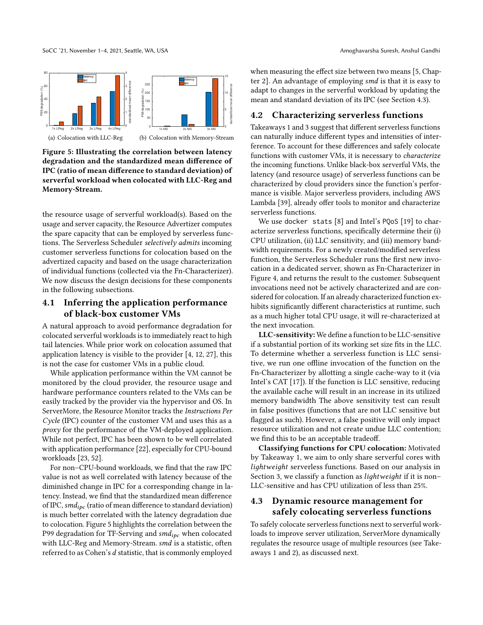<span id="page-5-0"></span>

Figure 5: Illustrating the correlation between latency degradation and the standardized mean difference of IPC (ratio of mean difference to standard deviation) of serverful workload when colocated with LLC-Reg and Memory-Stream.

the resource usage of serverful workload(s). Based on the usage and server capacity, the Resource Advertizer computes the spare capacity that can be employed by serverless functions. The Serverless Scheduler selectively admits incoming customer serverless functions for colocation based on the advertized capacity and based on the usage characterization of individual functions (collected via the Fn-Characterizer). We now discuss the design decisions for these components in the following subsections.

# 4.1 Inferring the application performance of black-box customer VMs

A natural approach to avoid performance degradation for colocated serverful workloads is to immediately react to high tail latencies. While prior work on colocation assumed that application latency is visible to the provider [\[4,](#page-13-4) [12,](#page-13-17) [27\]](#page-13-8), this is not the case for customer VMs in a public cloud.

While application performance within the VM cannot be monitored by the cloud provider, the resource usage and hardware performance counters related to the VMs can be easily tracked by the provider via the hypervisor and OS. In ServerMore, the Resource Monitor tracks the Instructions Per Cycle (IPC) counter of the customer VM and uses this as a proxy for the performance of the VM-deployed application. While not perfect, IPC has been shown to be well correlated with application performance [\[22\]](#page-13-5), especially for CPU-bound workloads [\[23,](#page-13-18) [52\]](#page-14-21).

For non–CPU-bound workloads, we find that the raw IPC value is not as well correlated with latency because of the diminished change in IPC for a corresponding change in latency. Instead, we find that the standardized mean difference of IPC,  $smd_{\text{loc}}$  (ratio of mean difference to standard deviation) is much better correlated with the latency degradation due to colocation. Figure [5](#page-5-0) highlights the correlation between the P99 degradation for TF-Serving and  $smd_{ipe}$  when colocated with LLC-Reg and Memory-Stream. smd is a statistic, often referred to as Cohen's  $d$  statistic, that is commonly employed

when measuring the effect size between two means [\[5,](#page-13-19) Chapter 2. An advantage of employing smd is that it is easy to adapt to changes in the serverful workload by updating the mean and standard deviation of its IPC (see Section [4.3\)](#page-5-1).

#### <span id="page-5-2"></span>4.2 Characterizing serverless functions

Takeaways [1](#page-3-3) and [3](#page-4-4) suggest that different serverless functions can naturally induce different types and intensities of interference. To account for these differences and safely colocate functions with customer VMs, it is necessary to characterize the incoming functions. Unlike black-box serverful VMs, the latency (and resource usage) of serverless functions can be characterized by cloud providers since the function's performance is visible. Major serverless providers, including AWS Lambda [\[39\]](#page-14-7), already offer tools to monitor and characterize serverless functions.

We use docker stats [\[8\]](#page-13-20) and Intel's PQoS [\[19\]](#page-13-21) to characterize serverless functions, specifically determine their (i) CPU utilization, (ii) LLC sensitivity, and (iii) memory bandwidth requirements. For a newly created/modified serverless function, the Serverless Scheduler runs the first new invocation in a dedicated server, shown as Fn-Characterizer in Figure [4,](#page-4-3) and returns the result to the customer. Subsequent invocations need not be actively characterized and are considered for colocation. If an already characterized function exhibits significantly different characteristics at runtime, such as a much higher total CPU usage, it will re-characterized at the next invocation.

LLC-sensitivity: We define a function to be LLC-sensitive if a substantial portion of its working set size fits in the LLC. To determine whether a serverless function is LLC sensitive, we run one offline invocation of the function on the Fn-Characterizer by allotting a single cache-way to it (via Intel's CAT [\[17\]](#page-13-2)). If the function is LLC sensitive, reducing the available cache will result in an increase in its utilized memory bandwidth The above sensitivity test can result in false positives (functions that are not LLC sensitive but flagged as such). However, a false positive will only impact resource utilization and not create undue LLC contention; we find this to be an acceptable tradeoff.

Classifying functions for CPU colocation: Motivated by Takeaway [1,](#page-3-3) we aim to only share serverful cores with lightweight serverless functions. Based on our analysis in Section [3,](#page-2-2) we classify a function as *lightweight* if it is non– LLC-sensitive and has CPU utilization of less than 25%.

# <span id="page-5-1"></span>4.3 Dynamic resource management for safely colocating serverless functions

To safely colocate serverless functions next to serverful workloads to improve server utilization, ServerMore dynamically regulates the resource usage of multiple resources (see Takeaways [1](#page-3-3) and [2\)](#page-3-4), as discussed next.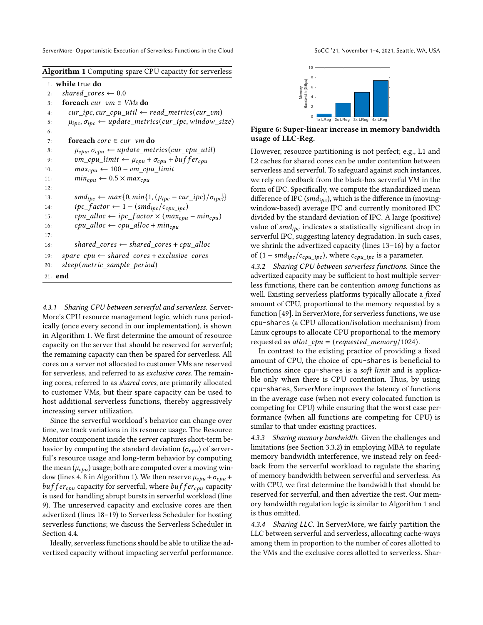<span id="page-6-0"></span>

| Algorithm 1 Computing spare CPU capacity for serverless |  |  |  |  |  |
|---------------------------------------------------------|--|--|--|--|--|
|                                                         |  |  |  |  |  |

|     | $1:$ while true do                                                                                                        |
|-----|---------------------------------------------------------------------------------------------------------------------------|
| 2:  | shared cores $\leftarrow 0.0$                                                                                             |
| 3:  | <b>foreach</b> cur $vm \in VMs$ do                                                                                        |
| 4:  | $cur\_ipc, cur\_cpu\_util \leftarrow read\_metrics(cur\_vm)$                                                              |
| 5:  | $\mu_{\textit{ipc}}, \sigma_{\textit{ipc}} \leftarrow \textit{update\_metrics}(\textit{cur\_ipc}, \textit{window\_size})$ |
| 6:  |                                                                                                                           |
| 7:  | foreach $core \in cur\_vm$ do                                                                                             |
| 8:  | $\mu_{cpu}, \sigma_{cpu} \leftarrow update\_metrics(cur\_cpu\_util)$                                                      |
| 9:  | $vm\_cpu\_limit \leftarrow \mu_{cpu} + \sigma_{cpu} + buffer_{cpu}$                                                       |
| 10: | $max_{cpu} \leftarrow 100 - \nu m_c \rho u_l$ limit                                                                       |
| 11: | $min_{cpu} \leftarrow 0.5 \times max_{cpu}$                                                                               |
| 12: |                                                                                                                           |
| 13: | $smd_{ipc} \leftarrow max\{0, min\{1, (\mu_{ipc} - cur\_ipc)/\sigma_{ipc}\}\}$                                            |
| 14: | $ipc_factor \leftarrow 1 - (smd_{ipc}/c_{cpu, ipc})$                                                                      |
| 15: | $cpu\_alloc \leftarrow ipc\_factor \times (max_{cpu} - min_{cpu})$                                                        |
| 16: | $cpu\_alloc \leftarrow cpu\_alloc + min_{cpu}$                                                                            |
| 17: |                                                                                                                           |
| 18: | shared_cores $\leftarrow$ shared_cores + cpu_alloc                                                                        |
| 19: | $space\_cpu \leftarrow shared\_cores + exclusive\_cores$                                                                  |
| 20: | sleep(metric_sample_period)                                                                                               |
|     | $21:$ end                                                                                                                 |

4.3.1 Sharing CPU between serverful and serverless. Server-More's CPU resource management logic, which runs periodically (once every second in our implementation), is shown in Algorithm [1.](#page-6-0) We first determine the amount of resource capacity on the server that should be reserved for serverful; the remaining capacity can then be spared for serverless. All cores on a server not allocated to customer VMs are reserved for serverless, and referred to as exclusive cores. The remaining cores, referred to as shared cores, are primarily allocated to customer VMs, but their spare capacity can be used to host additional serverless functions, thereby aggressively increasing server utilization.

Since the serverful workload's behavior can change over time, we track variations in its resource usage. The Resource Monitor component inside the server captures short-term behavior by computing the standard deviation ( $\sigma_{\textit{cpu}}$ ) of serverful's resource usage and long-term behavior by computing the mean  $(\mu_{cpu})$  usage; both are computed over a moving win-dow (lines 4, 8 in Algorithm [1\)](#page-6-0). We then reserve  $\mu_{cpu} + \sigma_{cpu} +$  $buffer_{\textit{c}pu}$  capacity for serverful, where  $buffer_{\textit{c}pu}$  capacity is used for handling abrupt bursts in serverful workload (line 9). The unreserved capacity and exclusive cores are then advertized (lines 18–19) to Serverless Scheduler for hosting serverless functions; we discuss the Serverless Scheduler in Section [4.4.](#page-7-2)

Ideally, serverless functions should be able to utilize the advertized capacity without impacting serverful performance.

<span id="page-6-1"></span>

Figure 6: Super-linear increase in memory bandwidth usage of LLC-Reg.

However, resource partitioning is not perfect; e.g., L1 and L2 caches for shared cores can be under contention between serverless and serverful. To safeguard against such instances, we rely on feedback from the black-box serverful VM in the form of IPC. Specifically, we compute the standardized mean difference of IPC ( $smd_{ipc}$ ), which is the difference in (movingwindow-based) average IPC and currently monitored IPC divided by the standard deviation of IPC. A large (positive) value of  $smd_{ipc}$  indicates a statistically significant drop in serverful IPC, suggesting latency degradation. In such cases, we shrink the advertized capacity (lines 13–16) by a factor of  $(1 - \frac{smd_{ipc}}{c_{\text{pu\_ipc}}})$ , where  $c_{\text{cpu\_ipc}}$  is a parameter.

4.3.2 Sharing CPU between serverless functions. Since the advertized capacity may be sufficient to host multiple serverless functions, there can be contention among functions as well. Existing serverless platforms typically allocate a fixed amount of CPU, proportional to the memory requested by a function [\[49\]](#page-14-3). In ServerMore, for serverless functions, we use cpu-shares (a CPU allocation/isolation mechanism) from Linux cgroups to allocate CPU proportional to the memory requested as allot  $cpu = (requested \ memory/1024).$ 

In contrast to the existing practice of providing a fixed amount of CPU, the choice of cpu-shares is beneficial to functions since cpu-shares is a soft limit and is applicable only when there is CPU contention. Thus, by using cpu-shares, ServerMore improves the latency of functions in the average case (when not every colocated function is competing for CPU) while ensuring that the worst case performance (when all functions are competing for CPU) is similar to that under existing practices.

4.3.3 Sharing memory bandwidth. Given the challenges and limitations (see Section [3.3.2\)](#page-3-5) in employing MBA to regulate memory bandwidth interference, we instead rely on feedback from the serverful workload to regulate the sharing of memory bandwidth between serverful and serverless. As with CPU, we first determine the bandwidth that should be reserved for serverful, and then advertize the rest. Our memory bandwidth regulation logic is similar to Algorithm [1](#page-6-0) and is thus omitted.

4.3.4 Sharing LLC. In ServerMore, we fairly partition the LLC between serverful and serverless, allocating cache-ways among them in proportion to the number of cores allotted to the VMs and the exclusive cores allotted to serverless. Shar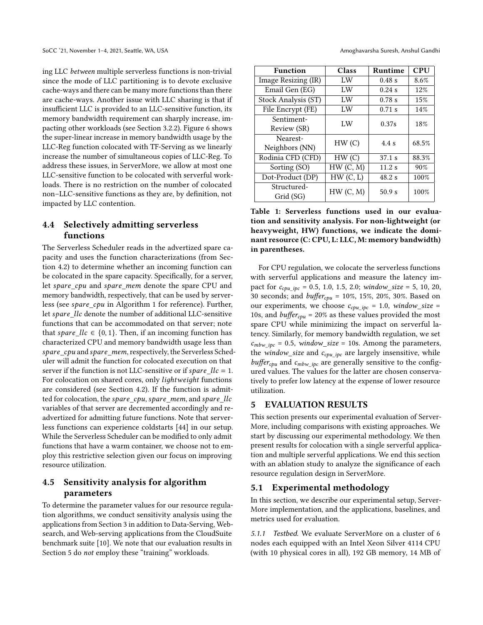ing LLC between multiple serverless functions is non-trivial since the mode of LLC partitioning is to devote exclusive cache-ways and there can be many more functions than there are cache-ways. Another issue with LLC sharing is that if insufficient LLC is provided to an LLC-sensitive function, its memory bandwidth requirement can sharply increase, impacting other workloads (see Section [3.2.2\)](#page-3-6). Figure [6](#page-6-1) shows the super-linear increase in memory bandwidth usage by the LLC-Reg function colocated with TF-Serving as we linearly increase the number of simultaneous copies of LLC-Reg. To address these issues, in ServerMore, we allow at most one LLC-sensitive function to be colocated with serverful workloads. There is no restriction on the number of colocated non–LLC-sensitive functions as they are, by definition, not impacted by LLC contention.

# <span id="page-7-2"></span>4.4 Selectively admitting serverless functions

The Serverless Scheduler reads in the advertized spare capacity and uses the function characterizations (from Section [4.2\)](#page-5-2) to determine whether an incoming function can be colocated in the spare capacity. Specifically, for a server, let spare\_cpu and spare\_mem denote the spare CPU and memory bandwidth, respectively, that can be used by server-less (see spare cpu in Algorithm [1](#page-6-0) for reference). Further, let spare llc denote the number of additional LLC-sensitive functions that can be accommodated on that server; note that spare  $llc \in \{0, 1\}$ . Then, if an incoming function has characterized CPU and memory bandwidth usage less than spare\_cpu and spare\_mem, respectively, the Serverless Scheduler will admit the function for colocated execution on that server if the function is not LLC-sensitive or if spare  $llc = 1$ . For colocation on shared cores, only *lightweight* functions are considered (see Section [4.2\)](#page-5-2). If the function is admitted for colocation, the spare\_cpu, spare\_mem, and spare\_llc variables of that server are decremented accordingly and readvertized for admitting future functions. Note that serverless functions can experience coldstarts [\[44\]](#page-14-13) in our setup. While the Serverless Scheduler can be modified to only admit functions that have a warm container, we choose not to employ this restrictive selection given our focus on improving resource utilization.

# <span id="page-7-4"></span>4.5 Sensitivity analysis for algorithm parameters

To determine the parameter values for our resource regulation algorithms, we conduct sensitivity analysis using the applications from Section [3](#page-2-2) in addition to Data-Serving, Websearch, and Web-serving applications from the CloudSuite benchmark suite [\[10\]](#page-13-22). We note that our evaluation results in Section [5](#page-7-0) do not employ these "training" workloads.

<span id="page-7-3"></span>

| <b>Function</b>     | Class    | Runtime  | CPU   |  |
|---------------------|----------|----------|-------|--|
| Image Resizing (IR) | LW       | 0.48 s   | 8.6%  |  |
| Email Gen (EG)      | LW       | 0.24 s   | 12%   |  |
| Stock Analysis (ST) | LW       | $0.78$ s | 15%   |  |
| File Encrypt (FE)   | LW       | $0.71$ s | 14%   |  |
| Sentiment-          | LW       | 0.37s    | 18%   |  |
| Review (SR)         |          |          |       |  |
| Nearest-            | HW(C)    | 4.4 s    | 68.5% |  |
| Neighbors (NN)      |          |          |       |  |
| Rodinia CFD (CFD)   | HW(C)    | 37.1 s   | 88.3% |  |
| Sorting (SO)        | HW(C, M) | 11.2s    | 90%   |  |
| Dot-Product (DP)    | HW(C, L) | 48.2 s   | 100%  |  |
| Structured-         |          | 50.9 s   | 100%  |  |
| Grid (SG)           | HW(C, M) |          |       |  |

Table 1: Serverless functions used in our evaluation and sensitivity analysis. For non-lightweight (or heavyweight, HW) functions, we indicate the dominant resource (C: CPU, L: LLC, M: memory bandwidth) in parentheses.

For CPU regulation, we colocate the serverless functions with serverful applications and measure the latency impact for  $c_{cpu\_ipc} = 0.5, 1.0, 1.5, 2.0; window\_size = 5, 10, 20,$ 30 seconds; and  $buffer_{cpu} = 10\%, 15\%, 20\%, 30\%$ . Based on our experiments, we choose  $c_{cpu\_ipc} = 1.0$ , window\_size = 10s, and *buffer<sub>cpu</sub>* = 20% as these values provided the most spare CPU while minimizing the impact on serverful latency. Similarly, for memory bandwidth regulation, we set  $c_{mbw~inc} = 0.5$ , window size = 10s. Among the parameters, the window\_size and  $c_{cpu}$  ipc are largely insensitive, while  $buffer_{cpu}$  and  $c_{mbw\_ipc}$  are generally sensitive to the configured values. The values for the latter are chosen conservatively to prefer low latency at the expense of lower resource utilization.

#### <span id="page-7-0"></span>5 EVALUATION RESULTS

This section presents our experimental evaluation of Server-More, including comparisons with existing approaches. We start by discussing our experimental methodology. We then present results for colocation with a single serverful application and multiple serverful applications. We end this section with an ablation study to analyze the significance of each resource regulation design in ServerMore.

# <span id="page-7-1"></span>5.1 Experimental methodology

In this section, we describe our experimental setup, Server-More implementation, and the applications, baselines, and metrics used for evaluation.

5.1.1 Testbed. We evaluate ServerMore on a cluster of 6 nodes each equipped with an Intel Xeon Silver 4114 CPU (with 10 physical cores in all), 192 GB memory, 14 MB of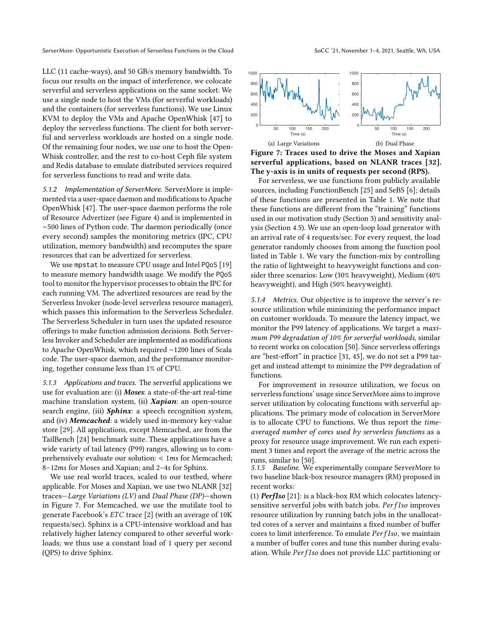LLC (11 cache-ways), and 50 GB/s memory bandwidth. To focus our results on the impact of interference, we colocate serverful and serverless applications on the same socket. We use a single node to host the VMs (for serverful workloads) and the containers (for serverless functions). We use Linux KVM to deploy the VMs and Apache OpenWhisk [\[47\]](#page-14-22) to deploy the serverless functions. The client for both serverful and serverless workloads are hosted on a single node. Of the remaining four nodes, we use one to host the Open-Whisk controller, and the rest to co-host Ceph file system and Redis database to emulate distributed services required for serverless functions to read and write data.

5.1.2 Implementation of ServerMore. ServerMore is implemented via a user-space daemon and modifications to Apache OpenWhisk [\[47\]](#page-14-22). The user-space daemon performs the role of Resource Advertizer (see Figure [4\)](#page-4-3) and is implemented in ∼500 lines of Python code. The daemon periodically (once every second) samples the monitoring metrics (IPC, CPU utilization, memory bandwidth) and recomputes the spare resources that can be advertized for serverless.

We use mpstat to measure CPU usage and Intel PQoS [\[19\]](#page-13-21) to measure memory bandwidth usage. We modify the PQoS tool to monitor the hypervisor processes to obtain the IPC for each running VM. The advertized resources are read by the Serverless Invoker (node-level serverless resource manager), which passes this information to the Serverless Scheduler. The Serverless Scheduler in turn uses the updated resource offerings to make function admission decisions. Both Serverless Invoker and Scheduler are implemented as modifications to Apache OpenWhisk, which required ∼1200 lines of Scala code. The user-space daemon, and the performance monitoring, together consume less than 1% of CPU.

5.1.3 Applications and traces. The serverful applications we use for evaluation are: (i) Moses: a state-of-the-art real-time machine translation system, (ii) **Xapian**: an open-source search engine, (iii) Sphinx: a speech recognition system, and (iv) Memcached: a widely used in-memory key-value store [\[29\]](#page-14-23). All applications, except Memcached, are from the TailBench [\[24\]](#page-13-23) benchmark suite. These applications have a wide variety of tail latency (P99) ranges, allowing us to comprehensively evaluate our solution:  $< 1ms$  for Memcached; 8–12ms for Moses and Xapian; and 2–4s for Sphinx.

We use real world traces, scaled to our testbed, where applicable. For Moses and Xapian, we use two NLANR [\[32\]](#page-14-24) traces—Large Variations (LV) and Dual Phase (DP)—shown in Figure [7.](#page-8-0) For Memcached, we use the mutilate tool to generate Facebook's  $ETC$  trace [\[2\]](#page-13-24) (with an average of 10K requests/sec). Sphinx is a CPU-intensive workload and has relatively higher latency compared to other severful workloads; we thus use a constant load of 1 query per second (QPS) to drive Sphinx.

<span id="page-8-0"></span>

<span id="page-8-2"></span><span id="page-8-1"></span>Figure 7: Traces used to drive the Moses and Xapian serverful applications, based on NLANR traces [\[32\]](#page-14-24). The y-axis is in units of requests per second (RPS).

For serverless, we use functions from publicly available sources, including FunctionBench [\[25\]](#page-13-25) and SeBS [\[6\]](#page-13-14); details of these functions are presented in Table [1.](#page-7-3) We note that these functions are different from the "training" functions used in our motivation study (Section [3\)](#page-2-2) and sensitivity analysis (Section [4.5\)](#page-7-4). We use an open-loop load generator with an arrival rate of 4 requests/sec. For every request, the load generator randomly chooses from among the function pool listed in Table [1.](#page-7-3) We vary the function-mix by controlling the ratio of lightweight to heavyweight functions and consider three scenarios: Low (30% heavyweight), Medium (40% heavyweight), and High (50% heavyweight).

5.1.4 Metrics. Our objective is to improve the server's resource utilization while minimizing the performance impact on customer workloads. To measure the latency impact, we monitor the P99 latency of applications. We target a maximum P99 degradation of 10% for serverful workloads, similar to recent works on colocation [\[50\]](#page-14-4). Since serverless offerings are "best-effort" in practice [\[31,](#page-14-5) [45\]](#page-14-6), we do not set a P99 target and instead attempt to minimize the P99 degradation of functions.

For improvement in resource utilization, we focus on serverless functions' usage since ServerMore aims to improve server utilization by colocating functions with serverful applications. The primary mode of colocation in ServerMore is to allocate CPU to functions. We thus report the timeaveraged number of cores used by serverless functions as a proxy for resource usage improvement. We run each experiment 3 times and report the average of the metric across the runs, similar to [\[50\]](#page-14-4).

5.1.5 Baseline. We experimentally compare ServerMore to two baseline black-box resource managers (RM) proposed in recent works:

(1) PerfIso [\[21\]](#page-13-7): is a black-box RM which colocates latencysensitive serverful jobs with batch jobs.  $PerfIso$  improves resource utilization by running batch jobs in the unallocatted cores of a server and maintains a fixed number of buffer cores to limit interference. To emulate  $PerfIso$ , we maintain a number of buffer cores and tune this number during evaluation. While PerfIso does not provide LLC partitioning or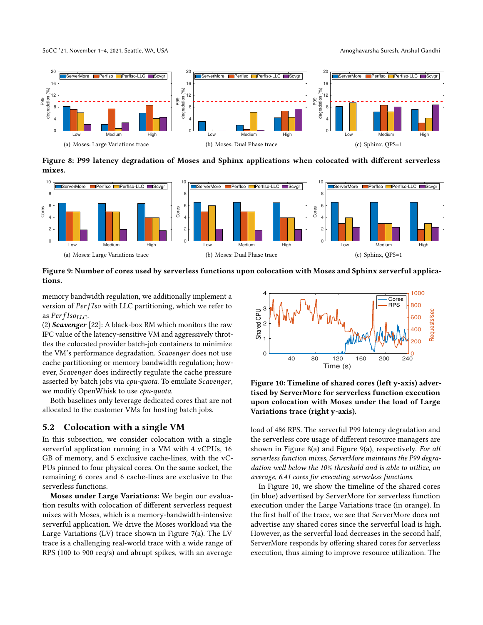SoCC '21, November 1–4, 2021, Seattle, WA, USA Amoghavarsha Suresh, Anshul Gandhi

<span id="page-9-5"></span>



<span id="page-9-3"></span><span id="page-9-0"></span>Figure 8: P99 latency degradation of Moses and Sphinx applications when colocated with different serverless mixes.



<span id="page-9-1"></span>Figure 9: Number of cores used by serverless functions upon colocation with Moses and Sphinx serverful applications.

memory bandwidth regulation, we additionally implement a version of  $PerfIso$  with LLC partitioning, which we refer to as  $PerfIso_{LLC}$ .

(2) Scavenger  $[22]$ : A black-box RM which monitors the raw IPC value of the latency-sensitive VM and aggressively throttles the colocated provider batch-job containers to minimize the VM's performance degradation. Scavenger does not use cache partitioning or memory bandwidth regulation; however, Scavenger does indirectly regulate the cache pressure asserted by batch jobs via cpu-quota. To emulate Scavenger, we modify OpenWhisk to use cpu-quota.

Both baselines only leverage dedicated cores that are not allocated to the customer VMs for hosting batch jobs.

#### 5.2 Colocation with a single VM

In this subsection, we consider colocation with a single serverful application running in a VM with 4 vCPUs, 16 GB of memory, and 5 exclusive cache-lines, with the vC-PUs pinned to four physical cores. On the same socket, the remaining 6 cores and 6 cache-lines are exclusive to the serverless functions.

Moses under Large Variations: We begin our evaluation results with colocation of different serverless request mixes with Moses, which is a memory-bandwidth-intensive serverful application. We drive the Moses workload via the Large Variations (LV) trace shown in Figure [7\(a\).](#page-8-1) The LV trace is a challenging real-world trace with a wide range of RPS (100 to 900 req/s) and abrupt spikes, with an average

<span id="page-9-6"></span><span id="page-9-4"></span><span id="page-9-2"></span>

Figure 10: Timeline of shared cores (left y-axis) advertised by ServerMore for serverless function execution upon colocation with Moses under the load of Large Variations trace (right y-axis).

load of 486 RPS. The serverful P99 latency degradation and the serverless core usage of different resource managers are shown in Figure [8\(a\)](#page-9-0) and Figure [9\(a\),](#page-9-1) respectively. For all serverless function mixes, ServerMore maintains the P99 degradation well below the 10% threshold and is able to utilize, on average, 6.41 cores for executing serverless functions.

In Figure [10,](#page-9-2) we show the timeline of the shared cores (in blue) advertised by ServerMore for serverless function execution under the Large Variations trace (in orange). In the first half of the trace, we see that ServerMore does not advertise any shared cores since the serverful load is high. However, as the serverful load decreases in the second half, ServerMore responds by offering shared cores for serverless execution, thus aiming to improve resource utilization. The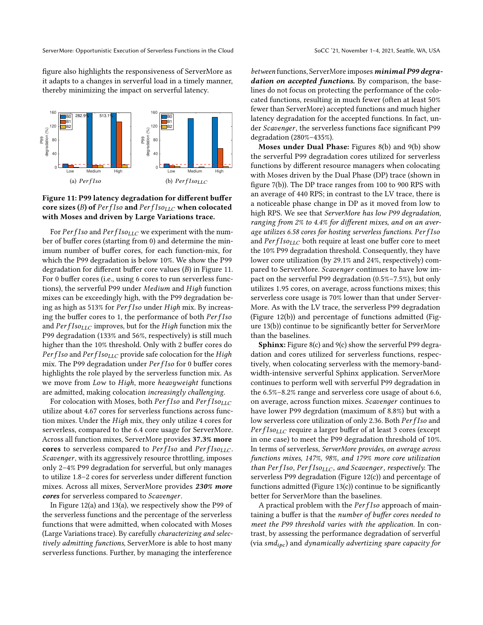figure also highlights the responsiveness of ServerMore as it adapts to a changes in serverful load in a timely manner, thereby minimizing the impact on serverful latency.

<span id="page-10-0"></span>

# Figure 11: P99 latency degradation for different buffer core sizes (B) of  $PerfIso_{LLC}$  when colocated with Moses and driven by Large Variations trace.

For  $PerfIso$  and  $PerfIso_{LLC}$  we experiment with the number of buffer cores (starting from 0) and determine the minimum number of buffer cores, for each function-mix, for which the P99 degradation is below 10%. We show the P99 degradation for different buffer core values  $(B)$  in Figure [11.](#page-10-0) For 0 buffer cores (i.e., using 6 cores to run serverless functions), the serverful P99 under Medium and High function mixes can be exceedingly high, with the P99 degradation being as high as 513% for PerfIso under High mix. By increasing the buffer cores to 1, the performance of both PerfIso and  $PerfIso_{LLC}$  improves, but for the High function mix the P99 degradation (133% and 56%, respectively) is still much higher than the 10% threshold. Only with 2 buffer cores do  $Perf I$ so and  $Perf I$ so<sub>LLC</sub> provide safe colocation for the High mix. The P99 degradation under  $PerfIso$  for 0 buffer cores highlights the role played by the serverless function mix. As we move from Low to High, more heavyweight functions are admitted, making colocation increasingly challenging.

For colocation with Moses, both  $PerfIso_{LLC}$ utilize about 4.67 cores for serverless functions across function mixes. Under the *High* mix, they only utilize 4 cores for serverless, compared to the 6.4 core usage for ServerMore. Across all function mixes, ServerMore provides 37.3% more cores to serverless compared to  $PerfIso_{LLC}$ . Scavenger, with its aggressively resource throttling, imposes only 2–4% P99 degradation for serverful, but only manages to utilize 1.8–2 cores for serverless under different function mixes. Across all mixes, ServerMore provides 230% more cores for serverless compared to *Scavenger*.

In Figure [12\(a\)](#page-11-0) and [13\(a\),](#page-11-1) we respectively show the P99 of the serverless functions and the percentage of the serverless functions that were admitted, when colocated with Moses (Large Variations trace). By carefully characterizing and selectively admitting functions, ServerMore is able to host many serverless functions. Further, by managing the interference

between functions, ServerMore imposes minimal P99 degradation on accepted functions. By comparison, the baselines do not focus on protecting the performance of the colocated functions, resulting in much fewer (often at least 50% fewer than ServerMore) accepted functions and much higher latency degradation for the accepted functions. In fact, under Scavenger, the serverless functions face significant P99 degradation (280%–435%).

Moses under Dual Phase: Figures [8\(b\)](#page-9-3) and [9\(b\)](#page-9-4) show the serverful P99 degradation cores utilized for serverless functions by different resource managers when colocating with Moses driven by the Dual Phase (DP) trace (shown in figure [7\(b\)\)](#page-8-2). The DP trace ranges from 100 to 900 RPS with an average of 440 RPS; in contrast to the LV trace, there is a noticeable phase change in DP as it moved from low to high RPS. We see that ServerMore has low P99 degradation, ranging from 2% to 4.4% for different mixes, and on an average utilizes 6.58 cores for hosting serverless functions. Per fIso and  $PerfIso_{LLC}$  both require at least one buffer core to meet the 10% P99 degradation threshold. Consequently, they have lower core utilization (by 29.1% and 24%, respectively) compared to ServerMore. Scavenger continues to have low impact on the serverful P99 degradation (0.5%–7.5%), but only utilizes 1.95 cores, on average, across functions mixes; this serverless core usage is 70% lower than that under Server-More. As with the LV trace, the serverless P99 degradation (Figure [12\(b\)\)](#page-11-2) and percentage of functions admitted (Figure [13\(b\)\)](#page-11-3) continue to be significantly better for ServerMore than the baselines.

Sphinx: Figure [8\(c\)](#page-9-5) and [9\(c\)](#page-9-6) show the serverful P99 degradation and cores utilized for serverless functions, respectively, when colocating serverless with the memory-bandwidth-intensive serverful Sphinx application. ServerMore continues to perform well with serverful P99 degradation in the 6.5%–8.2% range and serverless core usage of about 6.6, on average, across function mixes. *Scavenger* continues to have lower P99 degrdation (maximum of 8.8%) but with a low serverless core utilization of only 2.36. Both PerfIso and  $PerfIso_{LLC}$  require a larger buffer of at least 3 cores (except in one case) to meet the P99 degradation threshold of 10%. In terms of serverless, ServerMore provides, on average across functions mixes, 147%, 98%, and 179% more core utilization than  $PerfIso, PerfIso_{LLC}$ , and Scavenger, respectively. The serverless P99 degradation (Figure [12\(c\)\)](#page-11-4) and percentage of functions admitted (Figure [13\(c\)\)](#page-11-5) continue to be significantly better for ServerMore than the baselines.

A practical problem with the  $PerfIso$  approach of maintaining a buffer is that the number of buffer cores needed to meet the P99 threshold varies with the application. In contrast, by assessing the performance degradation of serverful (via  $\text{smd}_{\text{ipc}}$ ) and dynamically advertizing spare capacity for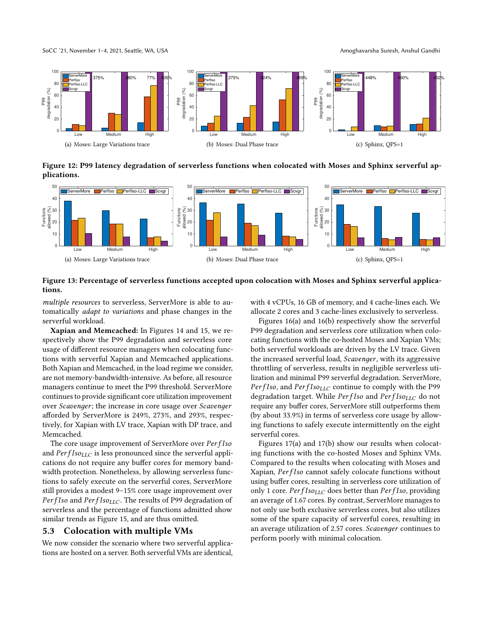SoCC '21, November 1–4, 2021, Seattle, WA, USA Amoghavarsha Suresh, Anshul Gandhi

<span id="page-11-4"></span>



<span id="page-11-2"></span><span id="page-11-0"></span>Figure 12: P99 latency degradation of serverless functions when colocated with Moses and Sphinx serverful applications.



#### <span id="page-11-1"></span>Figure 13: Percentage of serverless functions accepted upon colocation with Moses and Sphinx serverful applications.

multiple resources to serverless, ServerMore is able to automatically adapt to variations and phase changes in the serverful workload.

Xapian and Memcached: In Figures [14](#page-12-0) and [15,](#page-12-0) we respectively show the P99 degradation and serverless core usage of different resource managers when colocating functions with serverful Xapian and Memcached applications. Both Xapian and Memcached, in the load regime we consider, are not memory-bandwidth-intensive. As before, all resource managers continue to meet the P99 threshold. ServerMore continues to provide significant core utilization improvement over *Scavenger*; the increase in core usage over *Scavenger* afforded by ServerMore is 249%, 273%, and 293%, respectively, for Xapian with LV trace, Xapian with DP trace, and Memcached.

The core usage improvement of ServerMore over *PerfIso* and  $PerfIso_{LLC}$  is less pronounced since the serverful applications do not require any buffer cores for memory bandwidth protection. Nonetheless, by allowing serverless functions to safely execute on the serverful cores, ServerMore still provides a modest 9–15% core usage improvement over PerfIso and  $PerfIso_{LLC}$ . The results of P99 degradation of serverless and the percentage of functions admitted show similar trends as Figure [15,](#page-12-0) and are thus omitted.

# 5.3 Colocation with multiple VMs

We now consider the scenario where two serverful applications are hosted on a server. Both serverful VMs are identical, <span id="page-11-5"></span><span id="page-11-3"></span>with 4 vCPUs, 16 GB of memory, and 4 cache-lines each. We allocate 2 cores and 3 cache-lines exclusively to serverless.

Figures [16\(a\)](#page-12-1) and [16\(b\)](#page-12-2) respectively show the serverful P99 degradation and serverless core utilization when colocating functions with the co-hosted Moses and Xapian VMs; both serverful workloads are driven by the LV trace. Given the increased serverful load, *Scavenger*, with its aggressive throttling of serverless, results in negligible serverless utilization and minimal P99 serverful degradation. ServerMore, PerfIso, and  $PerfIso_{LLC}$  continue to comply with the P99 degradation target. While  $PerfIso_{LLC}$  do not require any buffer cores, ServerMore still outperforms them (by about 33.9%) in terms of serverless core usage by allowing functions to safely execute intermittently on the eight serverful cores.

Figures [17\(a\)](#page-12-3) and [17\(b\)](#page-12-4) show our results when colocating functions with the co-hosted Moses and Sphinx VMs. Compared to the results when colocating with Moses and Xapian, PerfIso cannot safely colocate functions without using buffer cores, resulting in serverless core utilization of only 1 core.  $PerfIso_{LLC}$  does better than  $PerfIso$ , providing an average of 1.67 cores. By contrast, ServerMore manages to not only use both exclusive serverless cores, but also utilizes some of the spare capacity of serverful cores, resulting in an average utilization of 2.57 cores. Scavenger continues to perform poorly with minimal colocation.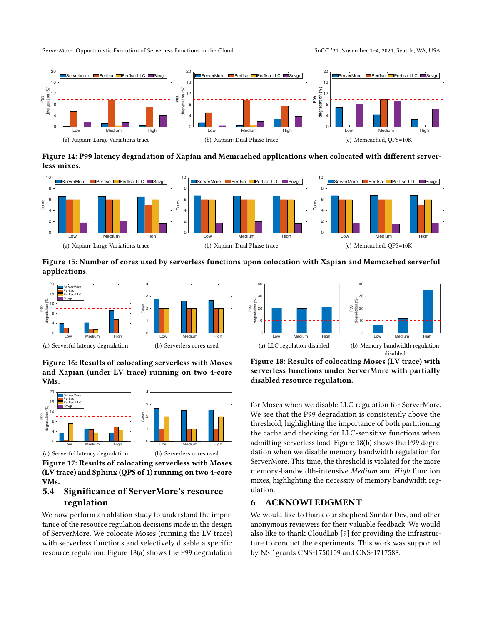<span id="page-12-0"></span>

Figure 14: P99 latency degradation of Xapian and Memcached applications when colocated with different serverless mixes.



Figure 15: Number of cores used by serverless functions upon colocation with Xapian and Memcached serverful applications.





<span id="page-12-1"></span>(a) Serverful latency degradation

<span id="page-12-2"></span>(b) Serverless cores used

Figure 16: Results of colocating serverless with Moses and Xapian (under LV trace) running on two 4-core VMs.



<span id="page-12-4"></span>(b) Serverless cores used

<span id="page-12-3"></span>(a) Serverful latency degradation Figure 17: Results of colocating serverless with Moses (LV trace) and Sphinx (QPS of 1) running on two 4-core VMs.

# 5.4 Significance of ServerMore's resource regulation

We now perform an ablation study to understand the importance of the resource regulation decisions made in the design of ServerMore. We colocate Moses (running the LV trace) with serverless functions and selectively disable a specific resource regulation. Figure [18\(a\)](#page-12-5) shows the P99 degradation



<span id="page-12-6"></span><span id="page-12-5"></span>Figure 18: Results of colocating Moses (LV trace) with serverless functions under ServerMore with partially disabled resource regulation.

for Moses when we disable LLC regulation for ServerMore. We see that the P99 degradation is consistently above the threshold, highlighting the importance of both partitioning the cache and checking for LLC-sensitive functions when admitting serverless load. Figure [18\(b\)](#page-12-6) shows the P99 degradation when we disable memory bandwidth regulation for ServerMore. This time, the threshold is violated for the more memory-bandwidth-intensive Medium and High function mixes, highlighting the necessity of memory bandwidth regulation.

### 6 ACKNOWLEDGMENT

We would like to thank our shepherd Sundar Dev, and other anonymous reviewers for their valuable feedback. We would also like to thank CloudLab [\[9\]](#page-13-26) for providing the infrastructure to conduct the experiments. This work was supported by NSF grants CNS-1750109 and CNS-1717588.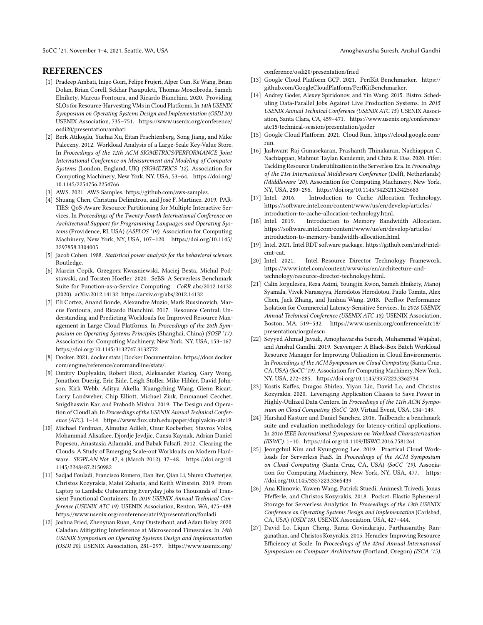SoCC '21, November 1–4, 2021, Seattle, WA, USA Amoghavarsha Suresh, Anshul Gandhi

#### REFERENCES

- <span id="page-13-6"></span>[1] Pradeep Ambati, Inigo Goiri, Felipe Frujeri, Alper Gun, Ke Wang, Brian Dolan, Brian Corell, Sekhar Pasupuleti, Thomas Moscibroda, Sameh Elnikety, Marcus Fontoura, and Ricardo Bianchini. 2020. Providing SLOs for Resource-Harvesting VMs in Cloud Platforms. In 14th USENIX Symposium on Operating Systems Design and Implementation (OSDI 20). USENIX Association, 735–751. [https://www.usenix.org/conference/](https://www.usenix.org/conference/osdi20/presentation/ambati) [osdi20/presentation/ambati](https://www.usenix.org/conference/osdi20/presentation/ambati)
- <span id="page-13-24"></span>[2] Berk Atikoglu, Yuehai Xu, Eitan Frachtenberg, Song Jiang, and Mike Paleczny. 2012. Workload Analysis of a Large-Scale Key-Value Store. In Proceedings of the 12th ACM SIGMETRICS/PERFORMANCE Joint International Conference on Measurement and Modeling of Computer Systems (London, England, UK) (SIGMETRICS '12). Association for Computing Machinery, New York, NY, USA, 53–64. [https://doi.org/](https://doi.org/10.1145/2254756.2254766) [10.1145/2254756.2254766](https://doi.org/10.1145/2254756.2254766)
- <span id="page-13-13"></span>[3] AWS. 2021. AWS Samples. https://github.com/aws-samples.
- <span id="page-13-4"></span>[4] Shuang Chen, Christina Delimitrou, and José F. Martínez. 2019. PAR-TIES: QoS-Aware Resource Partitioning for Multiple Interactive Services. In Proceedings of the Twenty-Fourth International Conference on Architectural Support for Programming Languages and Operating Systems (Providence, RI, USA) (ASPLOS '19). Association for Computing Machinery, New York, NY, USA, 107–120. [https://doi.org/10.1145/](https://doi.org/10.1145/3297858.3304005) [3297858.3304005](https://doi.org/10.1145/3297858.3304005)
- <span id="page-13-19"></span>[5] Jacob Cohen. 1988. Statistical power analysis for the behavioral sciences. Routledge.
- <span id="page-13-14"></span>[6] Marcin Copik, Grzegorz Kwasniewski, Maciej Besta, Michal Podstawski, and Torsten Hoefler. 2020. SeBS: A Serverless Benchmark Suite for Function-as-a-Service Computing. CoRR abs/2012.14132 (2020). arXiv[:2012.14132 https://arxiv.org/abs/2012.14132](https://arxiv.org/abs/2012.14132)
- <span id="page-13-1"></span>[7] Eli Cortez, Anand Bonde, Alexandre Muzio, Mark Russinovich, Marcus Fontoura, and Ricardo Bianchini. 2017. Resource Central: Understanding and Predicting Workloads for Improved Resource Management in Large Cloud Platforms. In Proceedings of the 26th Symposium on Operating Systems Principles (Shanghai, China) (SOSP '17). Association for Computing Machinery, New York, NY, USA, 153–167. <https://doi.org/10.1145/3132747.3132772>
- <span id="page-13-20"></span>[8] Docker. 2021. docker stats | Docker Documentaion. [https://docs.docker.](https://docs.docker.com/engine/reference/commandline/stats/) [com/engine/reference/commandline/stats/.](https://docs.docker.com/engine/reference/commandline/stats/)
- <span id="page-13-26"></span>[9] Dmitry Duplyakin, Robert Ricci, Aleksander Maricq, Gary Wong, Jonathon Duerig, Eric Eide, Leigh Stoller, Mike Hibler, David Johnson, Kirk Webb, Aditya Akella, Kuangching Wang, Glenn Ricart, Larry Landweber, Chip Elliott, Michael Zink, Emmanuel Cecchet, Snigdhaswin Kar, and Prabodh Mishra. 2019. The Design and Operation of CloudLab. In Proceedings of the USENIX Annual Technical Conference (ATC). 1–14.<https://www.flux.utah.edu/paper/duplyakin-atc19>
- <span id="page-13-22"></span>[10] Michael Ferdman, Almutaz Adileh, Onur Kocberber, Stavros Volos, Mohammad Alisafaee, Djordje Jevdjic, Cansu Kaynak, Adrian Daniel Popescu, Anastasia Ailamaki, and Babak Falsafi. 2012. Clearing the Clouds: A Study of Emerging Scale-out Workloads on Modern Hardware. SIGPLAN Not. 47, 4 (March 2012), 37–48. [https://doi.org/10.](https://doi.org/10.1145/2248487.2150982) [1145/2248487.2150982](https://doi.org/10.1145/2248487.2150982)
- <span id="page-13-0"></span>[11] Sadjad Fouladi, Francisco Romero, Dan Iter, Qian Li, Shuvo Chatterjee, Christos Kozyrakis, Matei Zaharia, and Keith Winstein. 2019. From Laptop to Lambda: Outsourcing Everyday Jobs to Thousands of Transient Functional Containers. In 2019 USENIX Annual Technical Conference (USENIX ATC 19). USENIX Association, Renton, WA, 475–488. <https://www.usenix.org/conference/atc19/presentation/fouladi>
- <span id="page-13-17"></span>[12] Joshua Fried, Zhenyuan Ruan, Amy Ousterhout, and Adam Belay. 2020. Caladan: Mitigating Interference at Microsecond Timescales. In 14th USENIX Symposium on Operating Systems Design and Implementation (OSDI 20). USENIX Association, 281–297. [https://www.usenix.org/](https://www.usenix.org/conference/osdi20/presentation/fried)

[conference/osdi20/presentation/fried](https://www.usenix.org/conference/osdi20/presentation/fried)

- <span id="page-13-12"></span>[13] Google Cloud Platform GCP. 2021. PerfKit Benchmarker. [https://](https://github.com/GoogleCloudPlatform/PerfKitBenchmarker) [github.com/GoogleCloudPlatform/PerfKitBenchmarker.](https://github.com/GoogleCloudPlatform/PerfKitBenchmarker)
- <span id="page-13-9"></span>[14] Andrey Goder, Alexey Spiridonov, and Yin Wang. 2015. Bistro: Scheduling Data-Parallel Jobs Against Live Production Systems. In 2015 USENIX Annual Technical Conference (USENIX ATC 15). USENIX Association, Santa Clara, CA, 459–471. [https://www.usenix.org/conference/](https://www.usenix.org/conference/atc15/technical-session/presentation/goder) [atc15/technical-session/presentation/goder](https://www.usenix.org/conference/atc15/technical-session/presentation/goder)
- <span id="page-13-16"></span>[15] Google Cloud Platform. 2021. Cloud Run. [https://cloud.google.com/](https://cloud.google.com/run) [run.](https://cloud.google.com/run)
- <span id="page-13-10"></span>[16] Jashwant Raj Gunasekaran, Prashanth Thinakaran, Nachiappan C. Nachiappan, Mahmut Taylan Kandemir, and Chita R. Das. 2020. Fifer: Tackling Resource Underutilization in the Serverless Era. In Proceedings of the 21st International Middleware Conference (Delft, Netherlands) (Middleware '20). Association for Computing Machinery, New York, NY, USA, 280–295.<https://doi.org/10.1145/3423211.3425683>
- <span id="page-13-2"></span>[17] Intel. 2016. Introduction to Cache Allocation Technology. [https://software.intel.com/content/www/us/en/develop/articles/](https://software.intel.com/content/www/us/en/develop/articles/introduction-to-cache-allocation-technology.html) [introduction-to-cache-allocation-technology.html.](https://software.intel.com/content/www/us/en/develop/articles/introduction-to-cache-allocation-technology.html)
- <span id="page-13-3"></span>[18] Intel. 2019. Introduction to Memory Bandwidth Allocation. [https://software.intel.com/content/www/us/en/develop/articles/](https://software.intel.com/content/www/us/en/develop/articles/introduction-to-memory-bandwidth-allocation.html) [introduction-to-memory-bandwidth-allocation.html.](https://software.intel.com/content/www/us/en/develop/articles/introduction-to-memory-bandwidth-allocation.html)
- <span id="page-13-21"></span>[19] Intel. 2021. Intel RDT software package. [https://github.com/intel/intel](https://github.com/intel/intel-cmt-cat)[cmt-cat.](https://github.com/intel/intel-cmt-cat)
- <span id="page-13-15"></span>[20] Intel. 2021. Intel Resource Director Technology Framework. [https://www.intel.com/content/www/us/en/architecture-and](https://www.intel.com/content/www/us/en/architecture-and-technology/resource-director-technology.html)[technology/resource-director-technology.html.](https://www.intel.com/content/www/us/en/architecture-and-technology/resource-director-technology.html)
- <span id="page-13-7"></span>[21] Calin Iorgulescu, Reza Azimi, Youngjin Kwon, Sameh Elnikety, Manoj Syamala, Vivek Narasayya, Herodotos Herodotou, Paulo Tomita, Alex Chen, Jack Zhang, and Junhua Wang. 2018. PerfIso: Performance Isolation for Commercial Latency-Sensitive Services. In 2018 USENIX Annual Technical Conference (USENIX ATC 18). USENIX Association, Boston, MA, 519–532. [https://www.usenix.org/conference/atc18/](https://www.usenix.org/conference/atc18/presentation/iorgulescu) [presentation/iorgulescu](https://www.usenix.org/conference/atc18/presentation/iorgulescu)
- <span id="page-13-5"></span>[22] Seyyed Ahmad Javadi, Amoghavarsha Suresh, Muhammad Wajahat, and Anshul Gandhi. 2019. Scavenger: A Black-Box Batch Workload Resource Manager for Improving Utilization in Cloud Environments. In Proceedings of the ACM Symposium on Cloud Computing (Santa Cruz, CA, USA) (SoCC '19). Association for Computing Machinery, New York, NY, USA, 272–285.<https://doi.org/10.1145/3357223.3362734>
- <span id="page-13-18"></span>[23] Kostis Kaffes, Dragos Sbirlea, Yiyan Lin, David Lo, and Christos Kozyrakis. 2020. Leveraging Application Classes to Save Power in Highly-Utilized Data Centers. In Proceedings of the 11th ACM Symposium on Cloud Computing (SoCC '20). Virtual Event, USA, 134–149.
- <span id="page-13-23"></span>[24] Harshad Kasture and Daniel Sanchez. 2016. Tailbench: a benchmark suite and evaluation methodology for latency-critical applications. In 2016 IEEE International Symposium on Workload Characterization (IISWC). 1–10.<https://doi.org/10.1109/IISWC.2016.7581261>
- <span id="page-13-25"></span>[25] Jeongchul Kim and Kyungyong Lee. 2019. Practical Cloud Workloads for Serverless FaaS. In Proceedings of the ACM Symposium on Cloud Computing (Santa Cruz, CA, USA) (SoCC '19). Association for Computing Machinery, New York, NY, USA, 477. [https:](https://doi.org/10.1145/3357223.3365439) [//doi.org/10.1145/3357223.3365439](https://doi.org/10.1145/3357223.3365439)
- <span id="page-13-11"></span>[26] Ana Klimovic, Yawen Wang, Patrick Stuedi, Animesh Trivedi, Jonas Pfefferle, and Christos Kozyrakis. 2018. Pocket: Elastic Ephemeral Storage for Serverless Analytics. In Proceedings of the 13th USENIX Conference on Operating Systems Design and Implementation (Carlsbad, CA, USA) (OSDI'18). USENIX Association, USA, 427–444.
- <span id="page-13-8"></span>[27] David Lo, Liqun Cheng, Rama Govindaraju, Parthasarathy Ranganathan, and Christos Kozyrakis. 2015. Heracles: Improving Resource Efficiency at Scale. In Proceedings of the 42nd Annual International Symposium on Computer Architecture (Portland, Oregon) (ISCA '15).